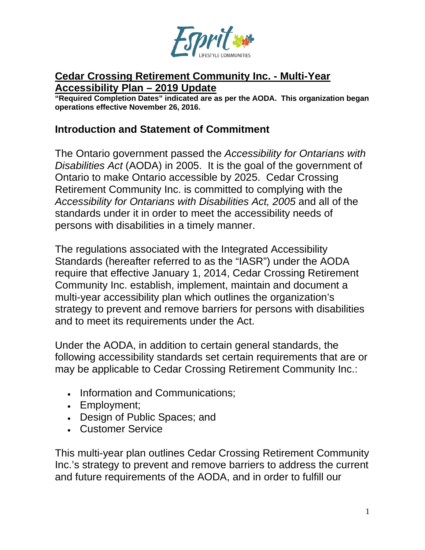

#### **Cedar Crossing Retirement Community Inc. - Multi-Year Accessibility Plan – 2019 Update**

**"Required Completion Dates" indicated are as per the AODA. This organization began operations effective November 26, 2016.**

#### **Introduction and Statement of Commitment**

The Ontario government passed the *Accessibility for Ontarians with Disabilities Act* (AODA) in 2005. It is the goal of the government of Ontario to make Ontario accessible by 2025. Cedar Crossing Retirement Community Inc. is committed to complying with the *Accessibility for Ontarians with Disabilities Act, 2005* and all of the standards under it in order to meet the accessibility needs of persons with disabilities in a timely manner.

The regulations associated with the Integrated Accessibility Standards (hereafter referred to as the "IASR") under the AODA require that effective January 1, 2014, Cedar Crossing Retirement Community Inc. establish, implement, maintain and document a multi-year accessibility plan which outlines the organization's strategy to prevent and remove barriers for persons with disabilities and to meet its requirements under the Act.

Under the AODA, in addition to certain general standards, the following accessibility standards set certain requirements that are or may be applicable to Cedar Crossing Retirement Community Inc.:

- Information and Communications;
- Employment;
- Design of Public Spaces; and
- Customer Service

This multi-year plan outlines Cedar Crossing Retirement Community Inc.'s strategy to prevent and remove barriers to address the current and future requirements of the AODA, and in order to fulfill our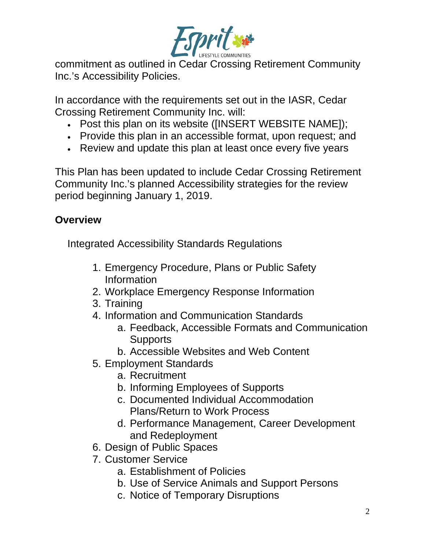

commitment as outlined in Cedar Crossing Retirement Community Inc.'s Accessibility Policies.

In accordance with the requirements set out in the IASR, Cedar Crossing Retirement Community Inc. will:

- Post this plan on its website ([INSERT WEBSITE NAME]);
- Provide this plan in an accessible format, upon request; and
- Review and update this plan at least once every five years

This Plan has been updated to include Cedar Crossing Retirement Community Inc.'s planned Accessibility strategies for the review period beginning January 1, 2019.

## **Overview**

Integrated Accessibility Standards Regulations

- 1. Emergency Procedure, Plans or Public Safety Information
- 2. Workplace Emergency Response Information
- 3. Training
- 4. Information and Communication Standards
	- a. Feedback, Accessible Formats and Communication **Supports**
	- b. Accessible Websites and Web Content
- 5. Employment Standards
	- a. Recruitment
	- b. Informing Employees of Supports
	- c. Documented Individual Accommodation Plans/Return to Work Process
	- d. Performance Management, Career Development and Redeployment
- 6. Design of Public Spaces
- 7. Customer Service
	- a. Establishment of Policies
	- b. Use of Service Animals and Support Persons
	- c. Notice of Temporary Disruptions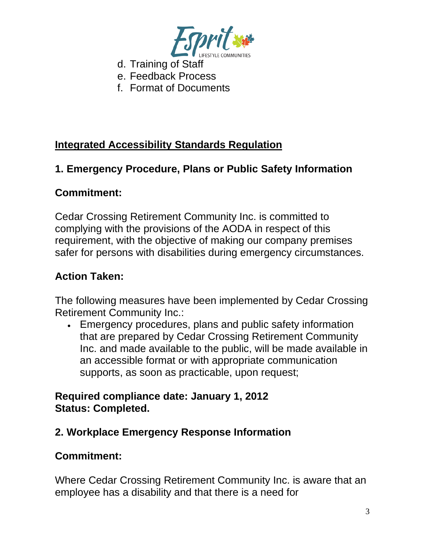

- d. Training of Staff
- e. Feedback Process
- f. Format of Documents

## **Integrated Accessibility Standards Regulation**

## **1. Emergency Procedure, Plans or Public Safety Information**

### **Commitment:**

Cedar Crossing Retirement Community Inc. is committed to complying with the provisions of the AODA in respect of this requirement, with the objective of making our company premises safer for persons with disabilities during emergency circumstances.

### **Action Taken:**

The following measures have been implemented by Cedar Crossing Retirement Community Inc.:

• Emergency procedures, plans and public safety information that are prepared by Cedar Crossing Retirement Community Inc. and made available to the public, will be made available in an accessible format or with appropriate communication supports, as soon as practicable, upon request;

### **Required compliance date: January 1, 2012 Status: Completed.**

## **2. Workplace Emergency Response Information**

### **Commitment:**

Where Cedar Crossing Retirement Community Inc. is aware that an employee has a disability and that there is a need for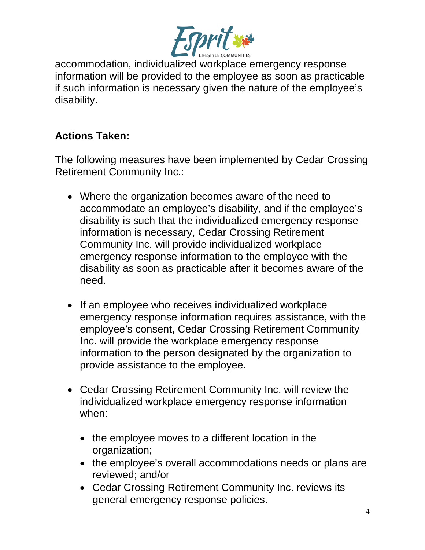

accommodation, individualized workplace emergency response information will be provided to the employee as soon as practicable if such information is necessary given the nature of the employee's disability.

## **Actions Taken:**

The following measures have been implemented by Cedar Crossing Retirement Community Inc.:

- Where the organization becomes aware of the need to accommodate an employee's disability, and if the employee's disability is such that the individualized emergency response information is necessary, Cedar Crossing Retirement Community Inc. will provide individualized workplace emergency response information to the employee with the disability as soon as practicable after it becomes aware of the need.
- If an employee who receives individualized workplace emergency response information requires assistance, with the employee's consent, Cedar Crossing Retirement Community Inc. will provide the workplace emergency response information to the person designated by the organization to provide assistance to the employee.
- Cedar Crossing Retirement Community Inc. will review the individualized workplace emergency response information when:
	- the employee moves to a different location in the organization;
	- the employee's overall accommodations needs or plans are reviewed; and/or
	- Cedar Crossing Retirement Community Inc. reviews its general emergency response policies.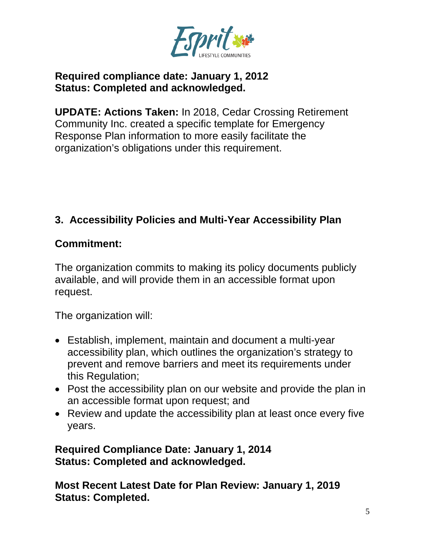

### **Required compliance date: January 1, 2012 Status: Completed and acknowledged.**

**UPDATE: Actions Taken:** In 2018, Cedar Crossing Retirement Community Inc. created a specific template for Emergency Response Plan information to more easily facilitate the organization's obligations under this requirement.

## **3. Accessibility Policies and Multi-Year Accessibility Plan**

### **Commitment:**

The organization commits to making its policy documents publicly available, and will provide them in an accessible format upon request.

The organization will:

- Establish, implement, maintain and document a multi-year accessibility plan, which outlines the organization's strategy to prevent and remove barriers and meet its requirements under this Regulation;
- Post the accessibility plan on our website and provide the plan in an accessible format upon request; and
- Review and update the accessibility plan at least once every five years.

**Required Compliance Date: January 1, 2014 Status: Completed and acknowledged.**

**Most Recent Latest Date for Plan Review: January 1, 2019 Status: Completed.**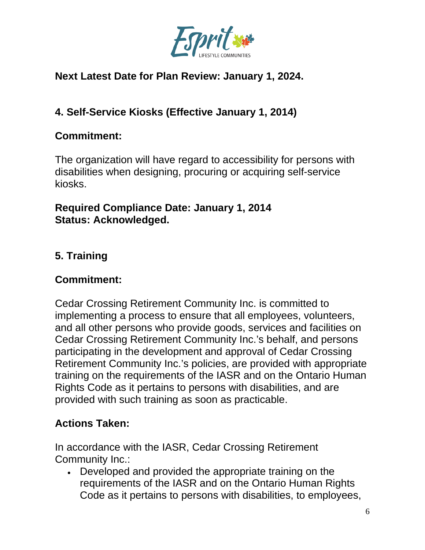

## **Next Latest Date for Plan Review: January 1, 2024.**

# **4. Self-Service Kiosks (Effective January 1, 2014)**

### **Commitment:**

The organization will have regard to accessibility for persons with disabilities when designing, procuring or acquiring self-service kiosks.

### **Required Compliance Date: January 1, 2014 Status: Acknowledged.**

# **5. Training**

## **Commitment:**

Cedar Crossing Retirement Community Inc. is committed to implementing a process to ensure that all employees, volunteers, and all other persons who provide goods, services and facilities on Cedar Crossing Retirement Community Inc.'s behalf, and persons participating in the development and approval of Cedar Crossing Retirement Community Inc.'s policies, are provided with appropriate training on the requirements of the IASR and on the Ontario Human Rights Code as it pertains to persons with disabilities, and are provided with such training as soon as practicable.

# **Actions Taken:**

In accordance with the IASR, Cedar Crossing Retirement Community Inc.:

• Developed and provided the appropriate training on the requirements of the IASR and on the Ontario Human Rights Code as it pertains to persons with disabilities, to employees,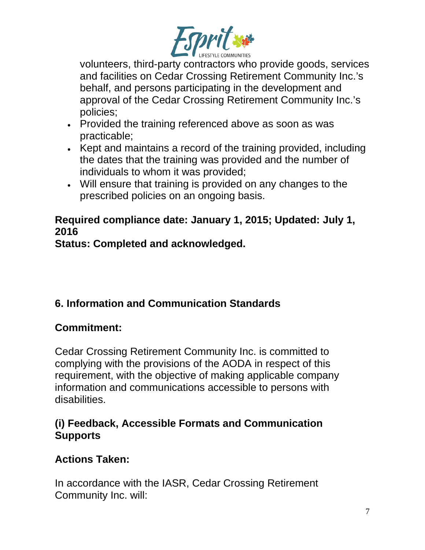

volunteers, third-party contractors who provide goods, services and facilities on Cedar Crossing Retirement Community Inc.'s behalf, and persons participating in the development and approval of the Cedar Crossing Retirement Community Inc.'s policies;

- Provided the training referenced above as soon as was practicable;
- Kept and maintains a record of the training provided, including the dates that the training was provided and the number of individuals to whom it was provided;
- Will ensure that training is provided on any changes to the prescribed policies on an ongoing basis.

# **Required compliance date: January 1, 2015; Updated: July 1, 2016**

**Status: Completed and acknowledged.**

# **6. Information and Communication Standards**

# **Commitment:**

Cedar Crossing Retirement Community Inc. is committed to complying with the provisions of the AODA in respect of this requirement, with the objective of making applicable company information and communications accessible to persons with disabilities.

## **(i) Feedback, Accessible Formats and Communication Supports**

# **Actions Taken:**

In accordance with the IASR, Cedar Crossing Retirement Community Inc. will: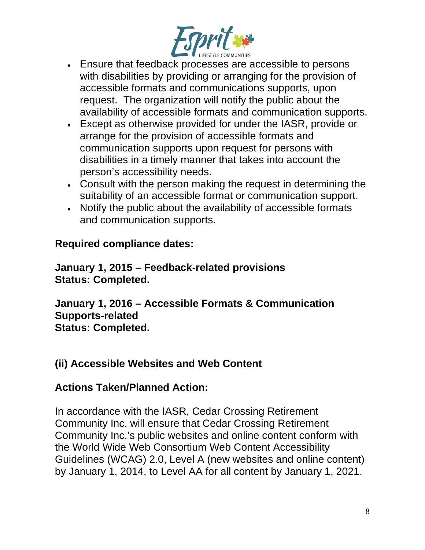

- Ensure that feedback processes are accessible to persons with disabilities by providing or arranging for the provision of accessible formats and communications supports, upon request. The organization will notify the public about the availability of accessible formats and communication supports.
- Except as otherwise provided for under the IASR, provide or arrange for the provision of accessible formats and communication supports upon request for persons with disabilities in a timely manner that takes into account the person's accessibility needs.
- Consult with the person making the request in determining the suitability of an accessible format or communication support.
- Notify the public about the availability of accessible formats and communication supports.

### **Required compliance dates:**

**January 1, 2015 – Feedback-related provisions Status: Completed.**

**January 1, 2016 – Accessible Formats & Communication Supports-related Status: Completed.**

### **(ii) Accessible Websites and Web Content**

#### **Actions Taken/Planned Action:**

In accordance with the IASR, Cedar Crossing Retirement Community Inc. will ensure that Cedar Crossing Retirement Community Inc.'s public websites and online content conform with the World Wide Web Consortium Web Content Accessibility Guidelines (WCAG) 2.0, Level A (new websites and online content) by January 1, 2014, to Level AA for all content by January 1, 2021.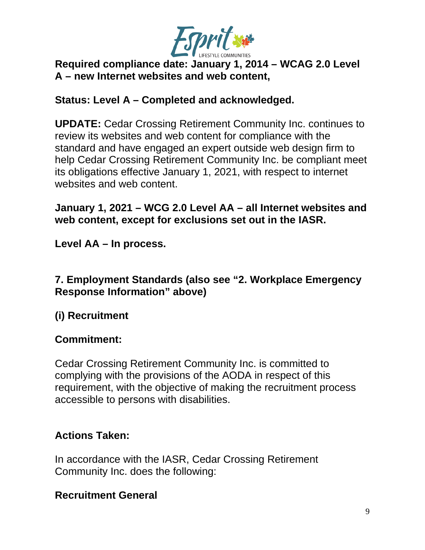

### **Required compliance date: January 1, 2014 – WCAG 2.0 Level A – new Internet websites and web content,**

### **Status: Level A – Completed and acknowledged.**

**UPDATE:** Cedar Crossing Retirement Community Inc. continues to review its websites and web content for compliance with the standard and have engaged an expert outside web design firm to help Cedar Crossing Retirement Community Inc. be compliant meet its obligations effective January 1, 2021, with respect to internet websites and web content.

### **January 1, 2021 – WCG 2.0 Level AA – all Internet websites and web content, except for exclusions set out in the IASR.**

**Level AA – In process.**

### **7. Employment Standards (also see "2. Workplace Emergency Response Information" above)**

# **(i) Recruitment**

### **Commitment:**

Cedar Crossing Retirement Community Inc. is committed to complying with the provisions of the AODA in respect of this requirement, with the objective of making the recruitment process accessible to persons with disabilities.

## **Actions Taken:**

In accordance with the IASR, Cedar Crossing Retirement Community Inc. does the following:

## **Recruitment General**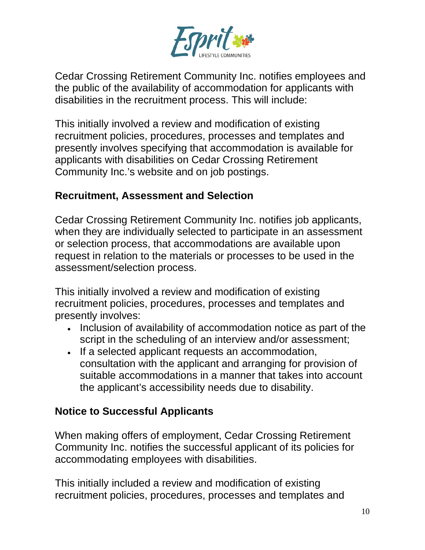

Cedar Crossing Retirement Community Inc. notifies employees and the public of the availability of accommodation for applicants with disabilities in the recruitment process. This will include:

This initially involved a review and modification of existing recruitment policies, procedures, processes and templates and presently involves specifying that accommodation is available for applicants with disabilities on Cedar Crossing Retirement Community Inc.'s website and on job postings.

### **Recruitment, Assessment and Selection**

Cedar Crossing Retirement Community Inc. notifies job applicants, when they are individually selected to participate in an assessment or selection process, that accommodations are available upon request in relation to the materials or processes to be used in the assessment/selection process.

This initially involved a review and modification of existing recruitment policies, procedures, processes and templates and presently involves:

- Inclusion of availability of accommodation notice as part of the script in the scheduling of an interview and/or assessment;
- If a selected applicant requests an accommodation, consultation with the applicant and arranging for provision of suitable accommodations in a manner that takes into account the applicant's accessibility needs due to disability.

### **Notice to Successful Applicants**

When making offers of employment, Cedar Crossing Retirement Community Inc. notifies the successful applicant of its policies for accommodating employees with disabilities.

This initially included a review and modification of existing recruitment policies, procedures, processes and templates and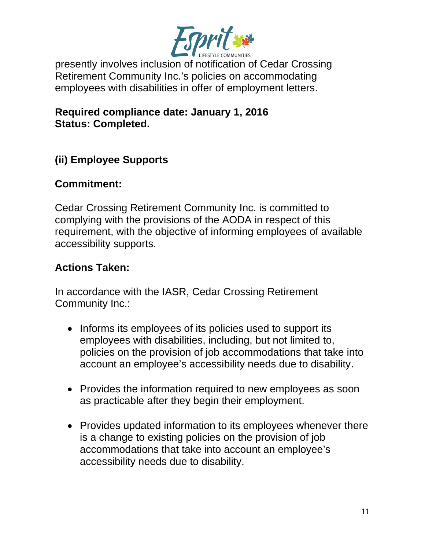

presently involves inclusion of notification of Cedar Crossing Retirement Community Inc.'s policies on accommodating employees with disabilities in offer of employment letters.

**Required compliance date: January 1, 2016 Status: Completed.**

## **(ii) Employee Supports**

### **Commitment:**

Cedar Crossing Retirement Community Inc. is committed to complying with the provisions of the AODA in respect of this requirement, with the objective of informing employees of available accessibility supports.

### **Actions Taken:**

In accordance with the IASR, Cedar Crossing Retirement Community Inc.:

- Informs its employees of its policies used to support its employees with disabilities, including, but not limited to, policies on the provision of job accommodations that take into account an employee's accessibility needs due to disability.
- Provides the information required to new employees as soon as practicable after they begin their employment.
- Provides updated information to its employees whenever there is a change to existing policies on the provision of job accommodations that take into account an employee's accessibility needs due to disability.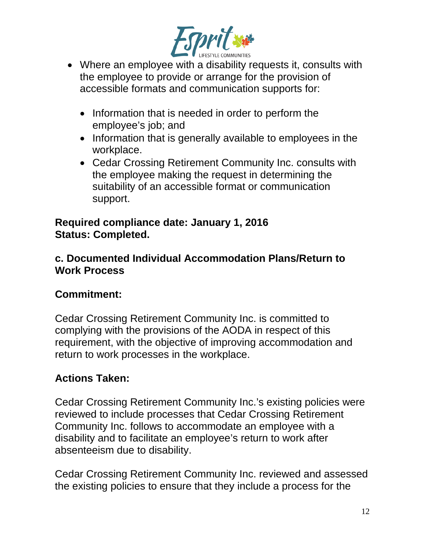

- Where an employee with a disability requests it, consults with the employee to provide or arrange for the provision of accessible formats and communication supports for:
	- Information that is needed in order to perform the employee's job; and
	- Information that is generally available to employees in the workplace.
	- Cedar Crossing Retirement Community Inc. consults with the employee making the request in determining the suitability of an accessible format or communication support.

#### **Required compliance date: January 1, 2016 Status: Completed.**

### **c. Documented Individual Accommodation Plans/Return to Work Process**

# **Commitment:**

Cedar Crossing Retirement Community Inc. is committed to complying with the provisions of the AODA in respect of this requirement, with the objective of improving accommodation and return to work processes in the workplace.

# **Actions Taken:**

Cedar Crossing Retirement Community Inc.'s existing policies were reviewed to include processes that Cedar Crossing Retirement Community Inc. follows to accommodate an employee with a disability and to facilitate an employee's return to work after absenteeism due to disability.

Cedar Crossing Retirement Community Inc. reviewed and assessed the existing policies to ensure that they include a process for the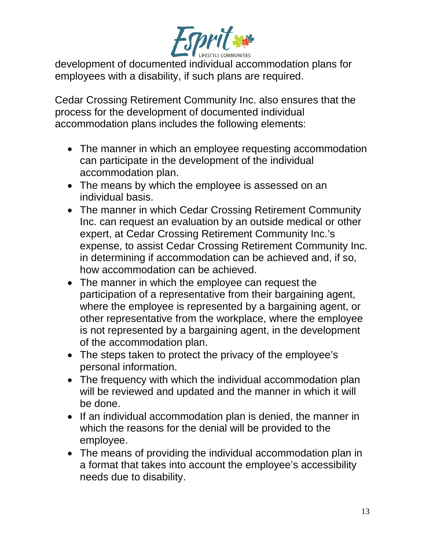

development of documented individual accommodation plans for employees with a disability, if such plans are required.

Cedar Crossing Retirement Community Inc. also ensures that the process for the development of documented individual accommodation plans includes the following elements:

- The manner in which an employee requesting accommodation can participate in the development of the individual accommodation plan.
- The means by which the employee is assessed on an individual basis.
- The manner in which Cedar Crossing Retirement Community Inc. can request an evaluation by an outside medical or other expert, at Cedar Crossing Retirement Community Inc.'s expense, to assist Cedar Crossing Retirement Community Inc. in determining if accommodation can be achieved and, if so, how accommodation can be achieved.
- The manner in which the employee can request the participation of a representative from their bargaining agent, where the employee is represented by a bargaining agent, or other representative from the workplace, where the employee is not represented by a bargaining agent, in the development of the accommodation plan.
- The steps taken to protect the privacy of the employee's personal information.
- The frequency with which the individual accommodation plan will be reviewed and updated and the manner in which it will be done.
- If an individual accommodation plan is denied, the manner in which the reasons for the denial will be provided to the employee.
- The means of providing the individual accommodation plan in a format that takes into account the employee's accessibility needs due to disability.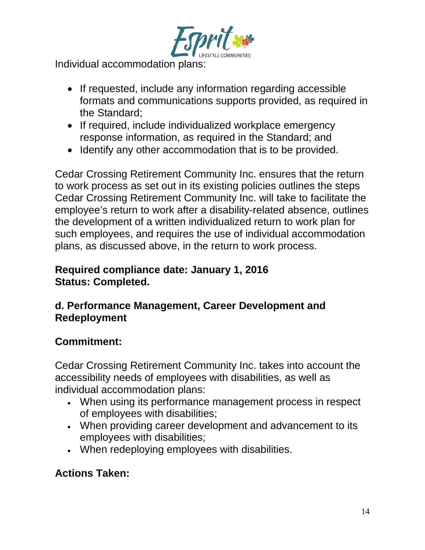

Individual accommodation plans:

- If requested, include any information regarding accessible formats and communications supports provided, as required in the Standard;
- If required, include individualized workplace emergency response information, as required in the Standard; and
- Identify any other accommodation that is to be provided.

Cedar Crossing Retirement Community Inc. ensures that the return to work process as set out in its existing policies outlines the steps Cedar Crossing Retirement Community Inc. will take to facilitate the employee's return to work after a disability-related absence, outlines the development of a written individualized return to work plan for such employees, and requires the use of individual accommodation plans, as discussed above, in the return to work process.

### **Required compliance date: January 1, 2016 Status: Completed.**

### **d. Performance Management, Career Development and Redeployment**

## **Commitment:**

Cedar Crossing Retirement Community Inc. takes into account the accessibility needs of employees with disabilities, as well as individual accommodation plans:

- When using its performance management process in respect of employees with disabilities;
- When providing career development and advancement to its employees with disabilities;
- When redeploying employees with disabilities.

# **Actions Taken:**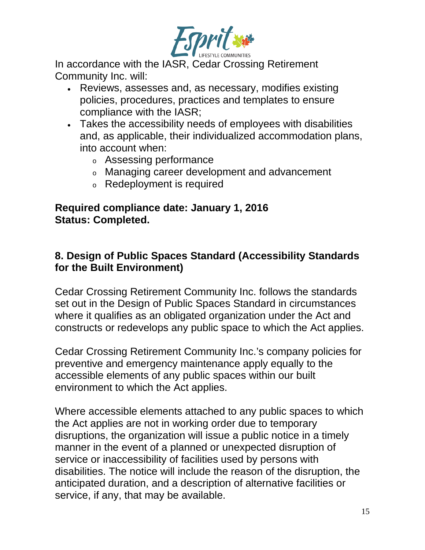

In accordance with the IASR, Cedar Crossing Retirement Community Inc. will:

- Reviews, assesses and, as necessary, modifies existing policies, procedures, practices and templates to ensure compliance with the IASR;
- Takes the accessibility needs of employees with disabilities and, as applicable, their individualized accommodation plans, into account when:
	- <sup>o</sup> Assessing performance
	- <sup>o</sup> Managing career development and advancement
	- <sup>o</sup> Redeployment is required

#### **Required compliance date: January 1, 2016 Status: Completed.**

### **8. Design of Public Spaces Standard (Accessibility Standards for the Built Environment)**

Cedar Crossing Retirement Community Inc. follows the standards set out in the Design of Public Spaces Standard in circumstances where it qualifies as an obligated organization under the Act and constructs or redevelops any public space to which the Act applies.

Cedar Crossing Retirement Community Inc.'s company policies for preventive and emergency maintenance apply equally to the accessible elements of any public spaces within our built environment to which the Act applies.

Where accessible elements attached to any public spaces to which the Act applies are not in working order due to temporary disruptions, the organization will issue a public notice in a timely manner in the event of a planned or unexpected disruption of service or inaccessibility of facilities used by persons with disabilities. The notice will include the reason of the disruption, the anticipated duration, and a description of alternative facilities or service, if any, that may be available.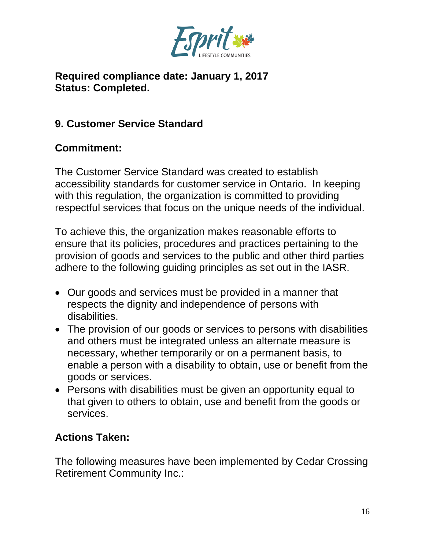

### **Required compliance date: January 1, 2017 Status: Completed.**

## **9. Customer Service Standard**

## **Commitment:**

The Customer Service Standard was created to establish accessibility standards for customer service in Ontario. In keeping with this regulation, the organization is committed to providing respectful services that focus on the unique needs of the individual.

To achieve this, the organization makes reasonable efforts to ensure that its policies, procedures and practices pertaining to the provision of goods and services to the public and other third parties adhere to the following guiding principles as set out in the IASR.

- Our goods and services must be provided in a manner that respects the dignity and independence of persons with disabilities.
- The provision of our goods or services to persons with disabilities and others must be integrated unless an alternate measure is necessary, whether temporarily or on a permanent basis, to enable a person with a disability to obtain, use or benefit from the goods or services.
- Persons with disabilities must be given an opportunity equal to that given to others to obtain, use and benefit from the goods or services.

### **Actions Taken:**

The following measures have been implemented by Cedar Crossing Retirement Community Inc.: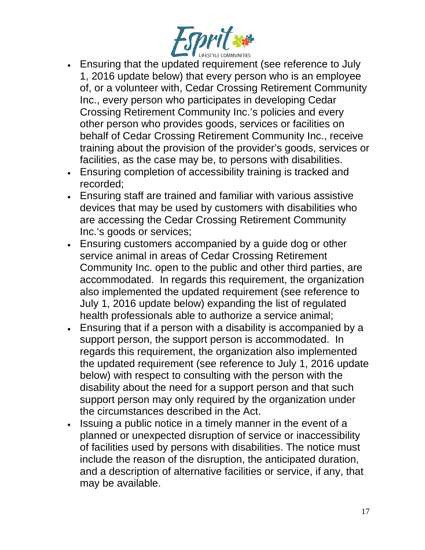

- Ensuring that the updated requirement (see reference to July 1, 2016 update below) that every person who is an employee of, or a volunteer with, Cedar Crossing Retirement Community Inc., every person who participates in developing Cedar Crossing Retirement Community Inc.'s policies and every other person who provides goods, services or facilities on behalf of Cedar Crossing Retirement Community Inc., receive training about the provision of the provider's goods, services or facilities, as the case may be, to persons with disabilities.
- Ensuring completion of accessibility training is tracked and recorded;
- Ensuring staff are trained and familiar with various assistive devices that may be used by customers with disabilities who are accessing the Cedar Crossing Retirement Community Inc.'s goods or services;
- Ensuring customers accompanied by a guide dog or other service animal in areas of Cedar Crossing Retirement Community Inc. open to the public and other third parties, are accommodated. In regards this requirement, the organization also implemented the updated requirement (see reference to July 1, 2016 update below) expanding the list of regulated health professionals able to authorize a service animal;
- Ensuring that if a person with a disability is accompanied by a support person, the support person is accommodated. In regards this requirement, the organization also implemented the updated requirement (see reference to July 1, 2016 update below) with respect to consulting with the person with the disability about the need for a support person and that such support person may only required by the organization under the circumstances described in the Act.
- Issuing a public notice in a timely manner in the event of a planned or unexpected disruption of service or inaccessibility of facilities used by persons with disabilities. The notice must include the reason of the disruption, the anticipated duration, and a description of alternative facilities or service, if any, that may be available.